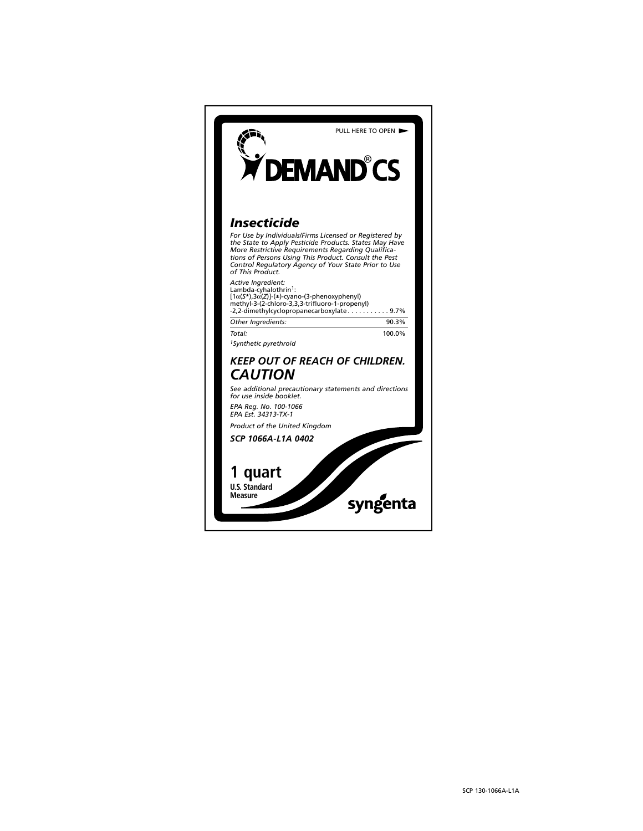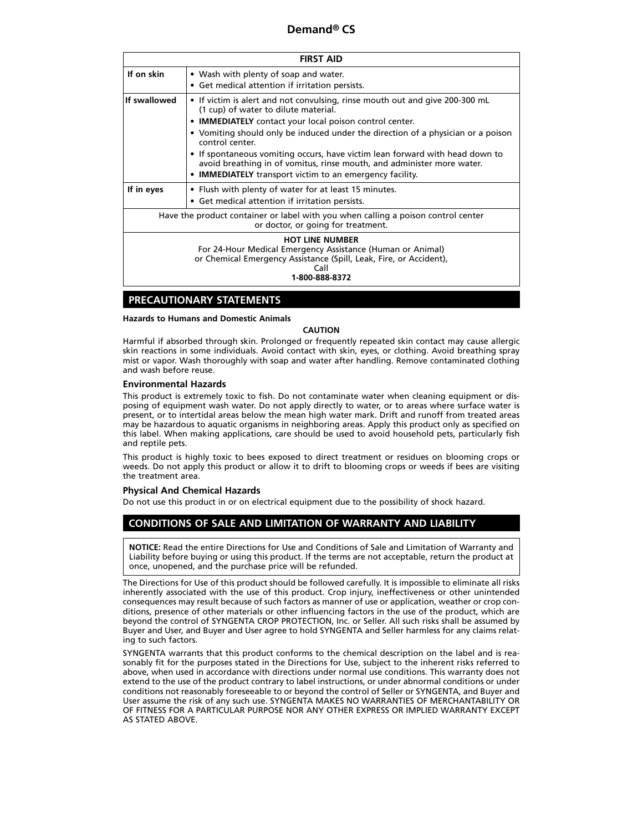| <b>FIRST AID</b>                                                                                                                                                                     |                                                                                                                                                                                                                                                                                                                                                                                                                                                                                                              |  |  |  |  |
|--------------------------------------------------------------------------------------------------------------------------------------------------------------------------------------|--------------------------------------------------------------------------------------------------------------------------------------------------------------------------------------------------------------------------------------------------------------------------------------------------------------------------------------------------------------------------------------------------------------------------------------------------------------------------------------------------------------|--|--|--|--|
| If on skin                                                                                                                                                                           | • Wash with plenty of soap and water.<br>• Get medical attention if irritation persists.                                                                                                                                                                                                                                                                                                                                                                                                                     |  |  |  |  |
| If swallowed                                                                                                                                                                         | • If victim is alert and not convulsing, rinse mouth out and give 200-300 mL<br>(1 cup) of water to dilute material.<br>• IMMEDIATELY contact your local poison control center.<br>• Vomiting should only be induced under the direction of a physician or a poison<br>control center.<br>• If spontaneous vomiting occurs, have victim lean forward with head down to<br>avoid breathing in of vomitus, rinse mouth, and administer more water.<br>• IMMEDIATELY transport victim to an emergency facility. |  |  |  |  |
| If in eyes                                                                                                                                                                           | • Flush with plenty of water for at least 15 minutes.<br>• Get medical attention if irritation persists.                                                                                                                                                                                                                                                                                                                                                                                                     |  |  |  |  |
| Have the product container or label with you when calling a poison control center<br>or doctor, or going for treatment.                                                              |                                                                                                                                                                                                                                                                                                                                                                                                                                                                                                              |  |  |  |  |
| <b>HOT LINE NUMBER</b><br>For 24-Hour Medical Emergency Assistance (Human or Animal)<br>or Chemical Emergency Assistance (Spill, Leak, Fire, or Accident),<br>Call<br>1-800-888-8372 |                                                                                                                                                                                                                                                                                                                                                                                                                                                                                                              |  |  |  |  |

## **PRECAUTIONARY STATEMENTS**

### **Hazards to Humans and Domestic Animals**

### **CAUTION**

Harmful if absorbed through skin. Prolonged or frequently repeated skin contact may cause allergic skin reactions in some individuals. Avoid contact with skin, eyes, or clothing. Avoid breathing spray mist or vapor. Wash thoroughly with soap and water after handling. Remove contaminated clothing and wash before reuse.

### **Environmental Hazards**

This product is extremely toxic to fish. Do not contaminate water when cleaning equipment or disposing of equipment wash water. Do not apply directly to water, or to areas where surface water is present, or to intertidal areas below the mean high water mark. Drift and runoff from treated areas may be hazardous to aquatic organisms in neighboring areas. Apply this product only as specified on this label. When making applications, care should be used to avoid household pets, particularly fish and reptile pets.

This product is highly toxic to bees exposed to direct treatment or residues on blooming crops or weeds. Do not apply this product or allow it to drift to blooming crops or weeds if bees are visiting the treatment area.

## **Physical And Chemical Hazards**

Do not use this product in or on electrical equipment due to the possibility of shock hazard.

## **CONDITIONS OF SALE AND LIMITATION OF WARRANTY AND LIABILITY**

**NOTICE:** Read the entire Directions for Use and Conditions of Sale and Limitation of Warranty and Liability before buying or using this product. If the terms are not acceptable, return the product at once, unopened, and the purchase price will be refunded.

The Directions for Use of this product should be followed carefully. It is impossible to eliminate all risks inherently associated with the use of this product. Crop injury, ineffectiveness or other unintended consequences may result because of such factors as manner of use or application, weather or crop conditions, presence of other materials or other influencing factors in the use of the product, which are beyond the control of SYNGENTA CROP PROTECTION, Inc. or Seller. All such risks shall be assumed by Buyer and User, and Buyer and User agree to hold SYNGENTA and Seller harmless for any claims relating to such factors.

SYNGENTA warrants that this product conforms to the chemical description on the label and is reasonably fit for the purposes stated in the Directions for Use, subject to the inherent risks referred to above, when used in accordance with directions under normal use conditions. This warranty does not extend to the use of the product contrary to label instructions, or under abnormal conditions or under conditions not reasonably foreseeable to or beyond the control of Seller or SYNGENTA, and Buyer and User assume the risk of any such use. SYNGENTA MAKES NO WARRANTIES OF MERCHANTABILITY OR OF FITNESS FOR A PARTICULAR PURPOSE NOR ANY OTHER EXPRESS OR IMPLIED WARRANTY EXCEPT AS STATED ABOVE.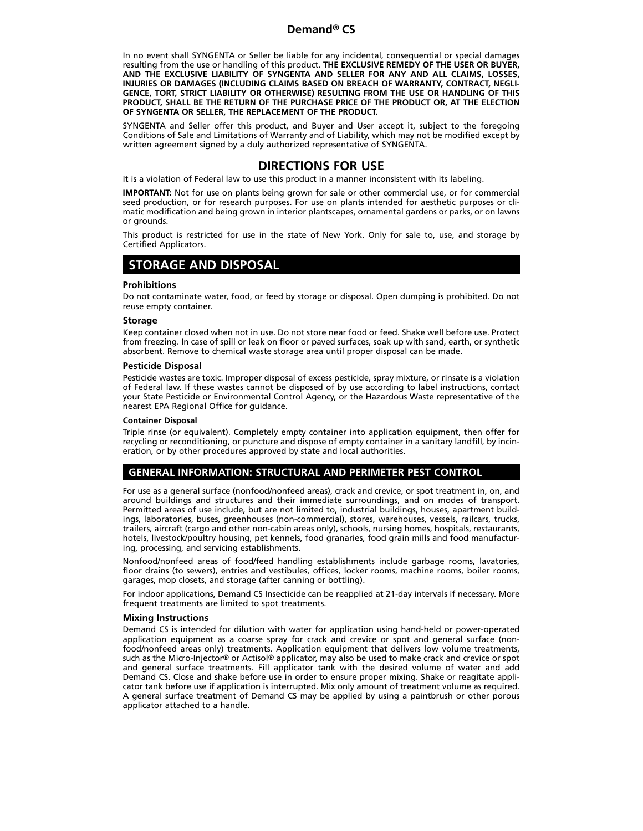In no event shall SYNGENTA or Seller be liable for any incidental, consequential or special damages resulting from the use or handling of this product. **THE EXCLUSIVE REMEDY OF THE USER OR BUYER, AND THE EXCLUSIVE LIABILITY OF SYNGENTA AND SELLER FOR ANY AND ALL CLAIMS, LOSSES, INJURIES OR DAMAGES (INCLUDING CLAIMS BASED ON BREACH OF WARRANTY, CONTRACT, NEGLI-GENCE, TORT, STRICT LIABILITY OR OTHERWISE) RESULTING FROM THE USE OR HANDLING OF THIS PRODUCT, SHALL BE THE RETURN OF THE PURCHASE PRICE OF THE PRODUCT OR, AT THE ELECTION OF SYNGENTA OR SELLER, THE REPLACEMENT OF THE PRODUCT.**

SYNGENTA and Seller offer this product, and Buyer and User accept it, subject to the foregoing Conditions of Sale and Limitations of Warranty and of Liability, which may not be modified except by written agreement signed by a duly authorized representative of SYNGENTA.

# **DIRECTIONS FOR USE**

It is a violation of Federal law to use this product in a manner inconsistent with its labeling.

**IMPORTANT:** Not for use on plants being grown for sale or other commercial use, or for commercial seed production, or for research purposes. For use on plants intended for aesthetic purposes or climatic modification and being grown in interior plantscapes, ornamental gardens or parks, or on lawns or grounds.

This product is restricted for use in the state of New York. Only for sale to, use, and storage by Certified Applicators.

# **STORAGE AND DISPOSAL**

## **Prohibitions**

Do not contaminate water, food, or feed by storage or disposal. Open dumping is prohibited. Do not reuse empty container.

## **Storage**

Keep container closed when not in use. Do not store near food or feed. Shake well before use. Protect from freezing. In case of spill or leak on floor or paved surfaces, soak up with sand, earth, or synthetic absorbent. Remove to chemical waste storage area until proper disposal can be made.

## **Pesticide Disposal**

Pesticide wastes are toxic. Improper disposal of excess pesticide, spray mixture, or rinsate is a violation of Federal law. If these wastes cannot be disposed of by use according to label instructions, contact your State Pesticide or Environmental Control Agency, or the Hazardous Waste representative of the nearest EPA Regional Office for guidance.

### **Container Disposal**

Triple rinse (or equivalent). Completely empty container into application equipment, then offer for recycling or reconditioning, or puncture and dispose of empty container in a sanitary landfill, by incineration, or by other procedures approved by state and local authorities.

# **GENERAL INFORMATION: STRUCTURAL AND PERIMETER PEST CONTROL**

For use as a general surface (nonfood/nonfeed areas), crack and crevice, or spot treatment in, on, and around buildings and structures and their immediate surroundings, and on modes of transport. Permitted areas of use include, but are not limited to, industrial buildings, houses, apartment buildings, laboratories, buses, greenhouses (non-commercial), stores, warehouses, vessels, railcars, trucks, trailers, aircraft (cargo and other non-cabin areas only), schools, nursing homes, hospitals, restaurants, hotels, livestock/poultry housing, pet kennels, food granaries, food grain mills and food manufacturing, processing, and servicing establishments.

Nonfood/nonfeed areas of food/feed handling establishments include garbage rooms, lavatories, floor drains (to sewers), entries and vestibules, offices, locker rooms, machine rooms, boiler rooms, garages, mop closets, and storage (after canning or bottling).

For indoor applications, Demand CS Insecticide can be reapplied at 21-day intervals if necessary. More frequent treatments are limited to spot treatments.

## **Mixing Instructions**

Demand CS is intended for dilution with water for application using hand-held or power-operated application equipment as a coarse spray for crack and crevice or spot and general surface (nonfood/nonfeed areas only) treatments. Application equipment that delivers low volume treatments, such as the Micro-Injector® or Actisol® applicator, may also be used to make crack and crevice or spot and general surface treatments. Fill applicator tank with the desired volume of water and add Demand CS. Close and shake before use in order to ensure proper mixing. Shake or reagitate applicator tank before use if application is interrupted. Mix only amount of treatment volume as required. A general surface treatment of Demand CS may be applied by using a paintbrush or other porous applicator attached to a handle.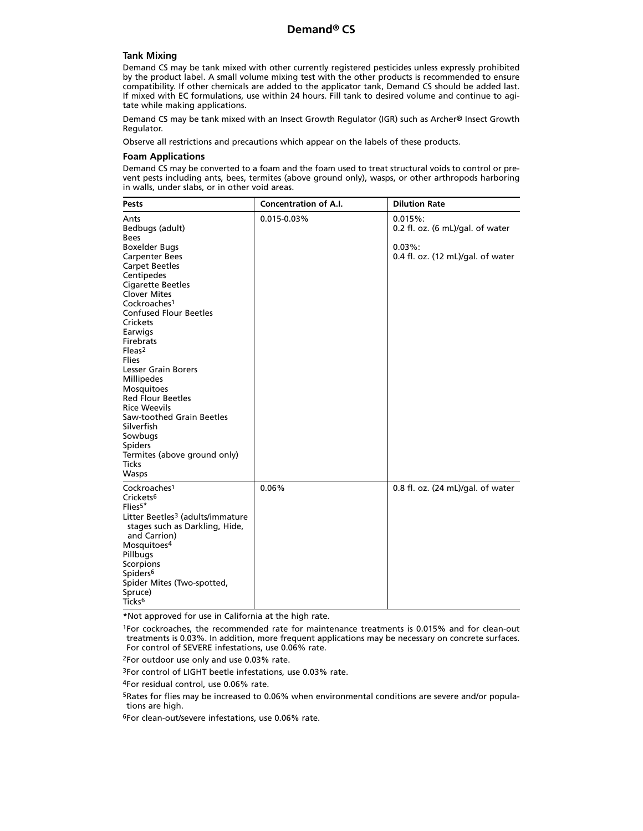## **Tank Mixing**

Demand CS may be tank mixed with other currently registered pesticides unless expressly prohibited by the product label. A small volume mixing test with the other products is recommended to ensure compatibility. If other chemicals are added to the applicator tank, Demand CS should be added last. If mixed with EC formulations, use within 24 hours. Fill tank to desired volume and continue to agitate while making applications.

Demand CS may be tank mixed with an Insect Growth Regulator (IGR) such as Archer® Insect Growth Regulator.

Observe all restrictions and precautions which appear on the labels of these products.

#### **Foam Applications**

Demand CS may be converted to a foam and the foam used to treat structural voids to control or prevent pests including ants, bees, termites (above ground only), wasps, or other arthropods harboring in walls, under slabs, or in other void areas.

| <b>Pests</b>                                                                                                                                                                                                                                                                                                                                                                                                                                                                                                                                                                            | <b>Concentration of A.I.</b> | <b>Dilution Rate</b>                                                                          |
|-----------------------------------------------------------------------------------------------------------------------------------------------------------------------------------------------------------------------------------------------------------------------------------------------------------------------------------------------------------------------------------------------------------------------------------------------------------------------------------------------------------------------------------------------------------------------------------------|------------------------------|-----------------------------------------------------------------------------------------------|
| Ants<br>Bedbugs (adult)<br><b>Bees</b><br><b>Boxelder Bugs</b><br><b>Carpenter Bees</b><br><b>Carpet Beetles</b><br>Centipedes<br><b>Cigarette Beetles</b><br><b>Clover Mites</b><br>Cockroaches <sup>1</sup><br><b>Confused Flour Beetles</b><br>Crickets<br>Earwigs<br>Firebrats<br>$F$ leas <sup>2</sup><br><b>Flies</b><br><b>Lesser Grain Borers</b><br><b>Millipedes</b><br><b>Mosquitoes</b><br><b>Red Flour Beetles</b><br><b>Rice Weevils</b><br>Saw-toothed Grain Beetles<br>Silverfish<br>Sowbugs<br><b>Spiders</b><br>Termites (above ground only)<br><b>Ticks</b><br>Wasps | $0.015 - 0.03%$              | 0.015%<br>0.2 fl. oz. (6 mL)/gal. of water<br>$0.03\%$ :<br>0.4 fl. oz. (12 mL)/gal. of water |
| Cockroaches <sup>1</sup><br>Crickets <sup>6</sup><br>$Flies5*$<br>Litter Beetles <sup>3</sup> (adults/immature<br>stages such as Darkling, Hide,<br>and Carrion)<br>Mosquitoes <sup>4</sup><br>Pillbugs<br>Scorpions<br>Spiders <sup>6</sup><br>Spider Mites (Two-spotted,<br>Spruce)<br>Ticks <sup>6</sup>                                                                                                                                                                                                                                                                             | 0.06%                        | 0.8 fl. oz. (24 mL)/gal. of water                                                             |

**\***Not approved for use in California at the high rate.

1For cockroaches, the recommended rate for maintenance treatments is 0.015% and for clean-out treatments is 0.03%. In addition, more frequent applications may be necessary on concrete surfaces. For control of SEVERE infestations, use 0.06% rate.

2For outdoor use only and use 0.03% rate.

3For control of LIGHT beetle infestations, use 0.03% rate.

4For residual control, use 0.06% rate.

5Rates for flies may be increased to 0.06% when environmental conditions are severe and/or populations are high.

6For clean-out/severe infestations, use 0.06% rate.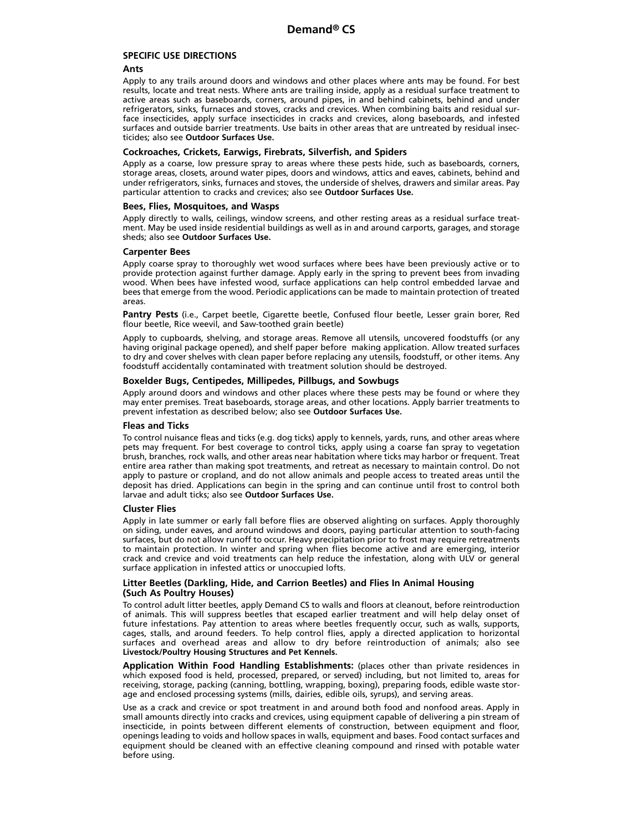## **SPECIFIC USE DIRECTIONS**

### **Ants**

Apply to any trails around doors and windows and other places where ants may be found. For best results, locate and treat nests. Where ants are trailing inside, apply as a residual surface treatment to active areas such as baseboards, corners, around pipes, in and behind cabinets, behind and under refrigerators, sinks, furnaces and stoves, cracks and crevices. When combining baits and residual surface insecticides, apply surface insecticides in cracks and crevices, along baseboards, and infested surfaces and outside barrier treatments. Use baits in other areas that are untreated by residual insecticides; also see **Outdoor Surfaces Use.**

### **Cockroaches, Crickets, Earwigs, Firebrats, Silverfish, and Spiders**

Apply as a coarse, low pressure spray to areas where these pests hide, such as baseboards, corners, storage areas, closets, around water pipes, doors and windows, attics and eaves, cabinets, behind and under refrigerators, sinks, furnaces and stoves, the underside of shelves, drawers and similar areas. Pay particular attention to cracks and crevices; also see **Outdoor Surfaces Use.**

### **Bees, Flies, Mosquitoes, and Wasps**

Apply directly to walls, ceilings, window screens, and other resting areas as a residual surface treatment. May be used inside residential buildings as well as in and around carports, garages, and storage sheds; also see **Outdoor Surfaces Use.**

### **Carpenter Bees**

Apply coarse spray to thoroughly wet wood surfaces where bees have been previously active or to provide protection against further damage. Apply early in the spring to prevent bees from invading wood. When bees have infested wood, surface applications can help control embedded larvae and bees that emerge from the wood. Periodic applications can be made to maintain protection of treated areas.

**Pantry Pests** (i.e., Carpet beetle, Cigarette beetle, Confused flour beetle, Lesser grain borer, Red flour beetle, Rice weevil, and Saw-toothed grain beetle)

Apply to cupboards, shelving, and storage areas. Remove all utensils, uncovered foodstuffs (or any having original package opened), and shelf paper before making application. Allow treated surfaces to dry and cover shelves with clean paper before replacing any utensils, foodstuff, or other items. Any foodstuff accidentally contaminated with treatment solution should be destroyed.

## **Boxelder Bugs, Centipedes, Millipedes, Pillbugs, and Sowbugs**

Apply around doors and windows and other places where these pests may be found or where they may enter premises. Treat baseboards, storage areas, and other locations. Apply barrier treatments to prevent infestation as described below; also see **Outdoor Surfaces Use.**

#### **Fleas and Ticks**

To control nuisance fleas and ticks (e.g. dog ticks) apply to kennels, yards, runs, and other areas where pets may frequent. For best coverage to control ticks, apply using a coarse fan spray to vegetation brush, branches, rock walls, and other areas near habitation where ticks may harbor or frequent. Treat entire area rather than making spot treatments, and retreat as necessary to maintain control. Do not apply to pasture or cropland, and do not allow animals and people access to treated areas until the deposit has dried. Applications can begin in the spring and can continue until frost to control both larvae and adult ticks; also see **Outdoor Surfaces Use.**

#### **Cluster Flies**

Apply in late summer or early fall before flies are observed alighting on surfaces. Apply thoroughly on siding, under eaves, and around windows and doors, paying particular attention to south-facing surfaces, but do not allow runoff to occur. Heavy precipitation prior to frost may require retreatments to maintain protection. In winter and spring when flies become active and are emerging, interior crack and crevice and void treatments can help reduce the infestation, along with ULV or general surface application in infested attics or unoccupied lofts.

## **Litter Beetles (Darkling, Hide, and Carrion Beetles) and Flies In Animal Housing (Such As Poultry Houses)**

To control adult litter beetles, apply Demand CS to walls and floors at cleanout, before reintroduction of animals. This will suppress beetles that escaped earlier treatment and will help delay onset of future infestations. Pay attention to areas where beetles frequently occur, such as walls, supports, cages, stalls, and around feeders. To help control flies, apply a directed application to horizontal surfaces and overhead areas and allow to dry before reintroduction of animals; also see **Livestock/Poultry Housing Structures and Pet Kennels.**

**Application Within Food Handling Establishments:** (places other than private residences in which exposed food is held, processed, prepared, or served) including, but not limited to, areas for receiving, storage, packing (canning, bottling, wrapping, boxing), preparing foods, edible waste storage and enclosed processing systems (mills, dairies, edible oils, syrups), and serving areas.

Use as a crack and crevice or spot treatment in and around both food and nonfood areas. Apply in small amounts directly into cracks and crevices, using equipment capable of delivering a pin stream of insecticide, in points between different elements of construction, between equipment and floor, openings leading to voids and hollow spaces in walls, equipment and bases. Food contact surfaces and equipment should be cleaned with an effective cleaning compound and rinsed with potable water before using.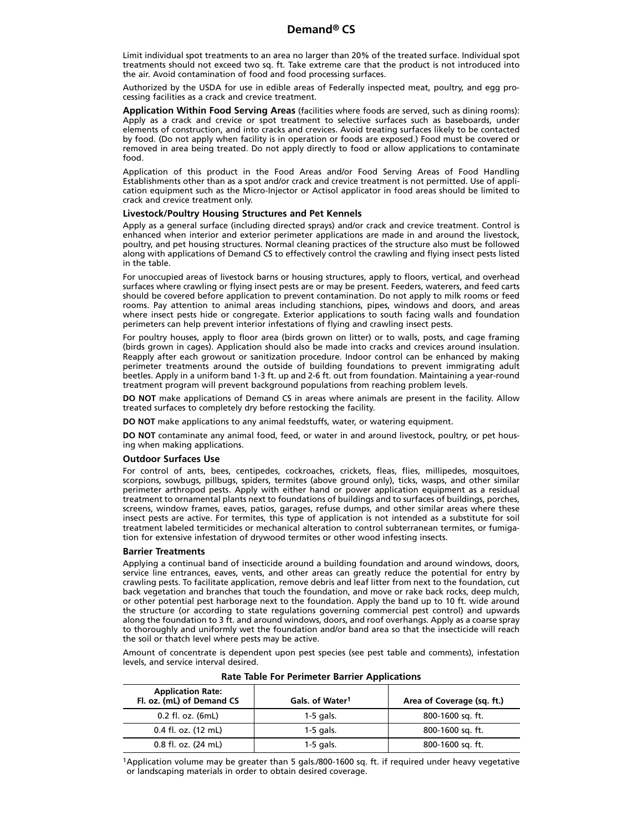Limit individual spot treatments to an area no larger than 20% of the treated surface. Individual spot treatments should not exceed two sq. ft. Take extreme care that the product is not introduced into the air. Avoid contamination of food and food processing surfaces.

Authorized by the USDA for use in edible areas of Federally inspected meat, poultry, and egg processing facilities as a crack and crevice treatment.

**Application Within Food Serving Areas** (facilities where foods are served, such as dining rooms): Apply as a crack and crevice or spot treatment to selective surfaces such as baseboards, under elements of construction, and into cracks and crevices. Avoid treating surfaces likely to be contacted by food. (Do not apply when facility is in operation or foods are exposed.) Food must be covered or removed in area being treated. Do not apply directly to food or allow applications to contaminate food.

Application of this product in the Food Areas and/or Food Serving Areas of Food Handling Establishments other than as a spot and/or crack and crevice treatment is not permitted. Use of application equipment such as the Micro-Injector or Actisol applicator in food areas should be limited to crack and crevice treatment only.

#### **Livestock/Poultry Housing Structures and Pet Kennels**

Apply as a general surface (including directed sprays) and/or crack and crevice treatment. Control is enhanced when interior and exterior perimeter applications are made in and around the livestock, poultry, and pet housing structures. Normal cleaning practices of the structure also must be followed along with applications of Demand CS to effectively control the crawling and flying insect pests listed in the table.

For unoccupied areas of livestock barns or housing structures, apply to floors, vertical, and overhead surfaces where crawling or flying insect pests are or may be present. Feeders, waterers, and feed carts should be covered before application to prevent contamination. Do not apply to milk rooms or feed rooms. Pay attention to animal areas including stanchions, pipes, windows and doors, and areas where insect pests hide or congregate. Exterior applications to south facing walls and foundation perimeters can help prevent interior infestations of flying and crawling insect pests.

For poultry houses, apply to floor area (birds grown on litter) or to walls, posts, and cage framing (birds grown in cages). Application should also be made into cracks and crevices around insulation. Reapply after each growout or sanitization procedure. Indoor control can be enhanced by making perimeter treatments around the outside of building foundations to prevent immigrating adult beetles. Apply in a uniform band 1-3 ft. up and 2-6 ft. out from foundation. Maintaining a year-round treatment program will prevent background populations from reaching problem levels.

**DO NOT** make applications of Demand CS in areas where animals are present in the facility. Allow treated surfaces to completely dry before restocking the facility.

**DO NOT** make applications to any animal feedstuffs, water, or watering equipment.

**DO NOT** contaminate any animal food, feed, or water in and around livestock, poultry, or pet housing when making applications.

#### **Outdoor Surfaces Use**

For control of ants, bees, centipedes, cockroaches, crickets, fleas, flies, millipedes, mosquitoes, scorpions, sowbugs, pillbugs, spiders, termites (above ground only), ticks, wasps, and other similar perimeter arthropod pests. Apply with either hand or power application equipment as a residual treatment to ornamental plants next to foundations of buildings and to surfaces of buildings, porches, screens, window frames, eaves, patios, garages, refuse dumps, and other similar areas where these insect pests are active. For termites, this type of application is not intended as a substitute for soil treatment labeled termiticides or mechanical alteration to control subterranean termites, or fumigation for extensive infestation of drywood termites or other wood infesting insects.

#### **Barrier Treatments**

Applying a continual band of insecticide around a building foundation and around windows, doors, service line entrances, eaves, vents, and other areas can greatly reduce the potential for entry by crawling pests. To facilitate application, remove debris and leaf litter from next to the foundation, cut back vegetation and branches that touch the foundation, and move or rake back rocks, deep mulch, or other potential pest harborage next to the foundation. Apply the band up to 10 ft. wide around the structure (or according to state regulations governing commercial pest control) and upwards along the foundation to 3 ft. and around windows, doors, and roof overhangs. Apply as a coarse spray to thoroughly and uniformly wet the foundation and/or band area so that the insecticide will reach the soil or thatch level where pests may be active.

Amount of concentrate is dependent upon pest species (see pest table and comments), infestation levels, and service interval desired.

| <b>Application Rate:</b><br>Fl. oz. (mL) of Demand CS | Gals. of Water <sup>1</sup> | Area of Coverage (sq. ft.) |
|-------------------------------------------------------|-----------------------------|----------------------------|
| 0.2 fl. oz. (6mL)                                     | $1-5$ gals.                 | 800-1600 sq. ft.           |
| 0.4 fl. oz. (12 mL)                                   | $1-5$ gals.                 | 800-1600 sq. ft.           |
| 0.8 fl. oz. (24 mL)                                   | $1-5$ gals.                 | 800-1600 sq. ft.           |

**Rate Table For Perimeter Barrier Applications**

1Application volume may be greater than 5 gals./800-1600 sq. ft. if required under heavy vegetative or landscaping materials in order to obtain desired coverage.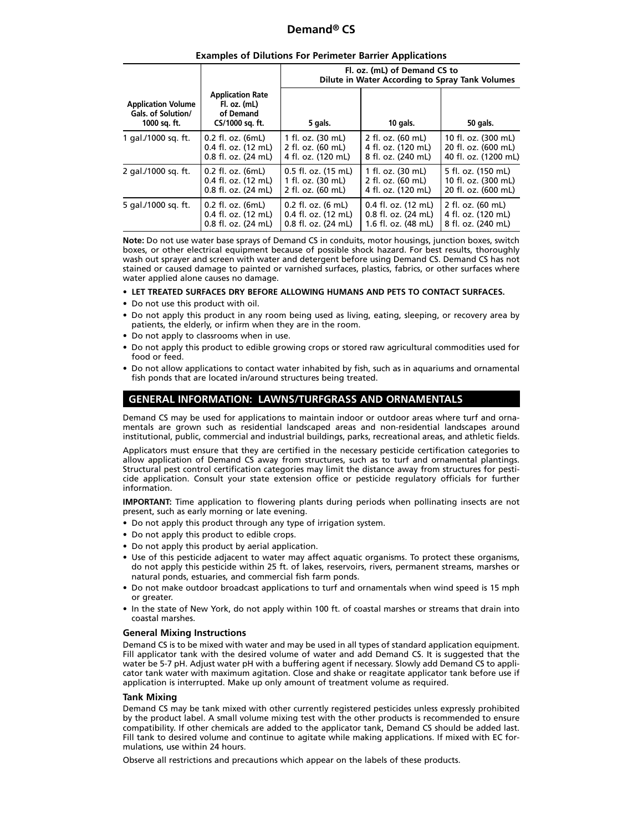| <b>Examples of Dilutions For Perimeter Barrier Applications</b> |
|-----------------------------------------------------------------|
|-----------------------------------------------------------------|

|                                                                 |                                                                         | Fl. oz. (mL) of Demand CS to<br>Dilute in Water According to Spray Tank Volumes |                                 |                      |
|-----------------------------------------------------------------|-------------------------------------------------------------------------|---------------------------------------------------------------------------------|---------------------------------|----------------------|
| <b>Application Volume</b><br>Gals. of Solution/<br>1000 sq. ft. | <b>Application Rate</b><br>Fl. oz. (mL)<br>of Demand<br>CS/1000 sq. ft. | 5 gals.                                                                         | 10 gals.                        | 50 gals.             |
| 1 gal./1000 sq. ft.                                             | 0.2 fl. oz. (6mL)                                                       | 1 fl. oz. (30 mL)                                                               | 2 fl. oz. (60 mL)               | 10 fl. oz. (300 mL)  |
|                                                                 | 0.4 fl. oz. (12 mL)                                                     | 2 fl. oz. (60 mL)                                                               | 4 fl. oz. (120 mL)              | 20 fl. oz. (600 mL)  |
|                                                                 | 0.8 fl. oz. (24 mL)                                                     | 4 fl. oz. (120 mL)                                                              | 8 fl. oz. (240 mL)              | 40 fl. oz. (1200 mL) |
| 2 gal./1000 sq. ft.                                             | $0.2$ fl. oz. $(6mL)$                                                   | $0.5$ fl. oz. $(15 \text{ mL})$                                                 | 1 fl. oz. (30 mL)               | 5 fl. oz. (150 mL)   |
|                                                                 | $0.4$ fl. oz. $(12 \text{ mL})$                                         | 1 fl. oz. (30 mL)                                                               | 2 fl. oz. (60 mL)               | 10 fl. oz. (300 mL)  |
|                                                                 | $0.8$ fl. oz. $(24 \text{ mL})$                                         | 2 fl. oz. (60 mL)                                                               | 4 fl. oz. (120 mL)              | 20 fl. oz. (600 mL)  |
| 5 gal./1000 sg. ft.                                             | $0.2$ fl. oz. $(6mL)$                                                   | $0.2$ fl. oz. (6 mL)                                                            | $0.4$ fl. oz. (12 mL)           | 2 fl. oz. (60 mL)    |
|                                                                 | 0.4 fl. oz. (12 mL)                                                     | $0.4$ fl. oz. $(12 \text{ mL})$                                                 | $0.8$ fl. oz. $(24 \text{ mL})$ | 4 fl. oz. (120 mL)   |
|                                                                 | 0.8 fl. oz. (24 mL)                                                     | 0.8 fl. oz. (24 mL)                                                             | 1.6 fl. oz. (48 mL)             | 8 fl. oz. (240 mL)   |

**Note:** Do not use water base sprays of Demand CS in conduits, motor housings, junction boxes, switch boxes, or other electrical equipment because of possible shock hazard. For best results, thoroughly wash out sprayer and screen with water and detergent before using Demand CS. Demand CS has not stained or caused damage to painted or varnished surfaces, plastics, fabrics, or other surfaces where water applied alone causes no damage.

**• LET TREATED SURFACES DRY BEFORE ALLOWING HUMANS AND PETS TO CONTACT SURFACES.**

- Do not use this product with oil.
- Do not apply this product in any room being used as living, eating, sleeping, or recovery area by patients, the elderly, or infirm when they are in the room.
- Do not apply to classrooms when in use.
- Do not apply this product to edible growing crops or stored raw agricultural commodities used for food or feed.
- Do not allow applications to contact water inhabited by fish, such as in aquariums and ornamental fish ponds that are located in/around structures being treated.

## **GENERAL INFORMATION: LAWNS/TURFGRASS AND ORNAMENTALS**

Demand CS may be used for applications to maintain indoor or outdoor areas where turf and ornamentals are grown such as residential landscaped areas and non-residential landscapes around institutional, public, commercial and industrial buildings, parks, recreational areas, and athletic fields.

Applicators must ensure that they are certified in the necessary pesticide certification categories to allow application of Demand CS away from structures, such as to turf and ornamental plantings. Structural pest control certification categories may limit the distance away from structures for pesticide application. Consult your state extension office or pesticide regulatory officials for further information.

**IMPORTANT:** Time application to flowering plants during periods when pollinating insects are not present, such as early morning or late evening.

- Do not apply this product through any type of irrigation system.
- Do not apply this product to edible crops.
- Do not apply this product by aerial application.
- Use of this pesticide adjacent to water may affect aquatic organisms. To protect these organisms, do not apply this pesticide within 25 ft. of lakes, reservoirs, rivers, permanent streams, marshes or natural ponds, estuaries, and commercial fish farm ponds.
- Do not make outdoor broadcast applications to turf and ornamentals when wind speed is 15 mph or greater.
- In the state of New York, do not apply within 100 ft. of coastal marshes or streams that drain into coastal marshes.

## **General Mixing Instructions**

Demand CS is to be mixed with water and may be used in all types of standard application equipment. Fill applicator tank with the desired volume of water and add Demand CS. It is suggested that the water be 5-7 pH. Adjust water pH with a buffering agent if necessary. Slowly add Demand CS to applicator tank water with maximum agitation. Close and shake or reagitate applicator tank before use if application is interrupted. Make up only amount of treatment volume as required.

## **Tank Mixing**

Demand CS may be tank mixed with other currently registered pesticides unless expressly prohibited by the product label. A small volume mixing test with the other products is recommended to ensure compatibility. If other chemicals are added to the applicator tank, Demand CS should be added last. Fill tank to desired volume and continue to agitate while making applications. If mixed with EC formulations, use within 24 hours.

Observe all restrictions and precautions which appear on the labels of these products.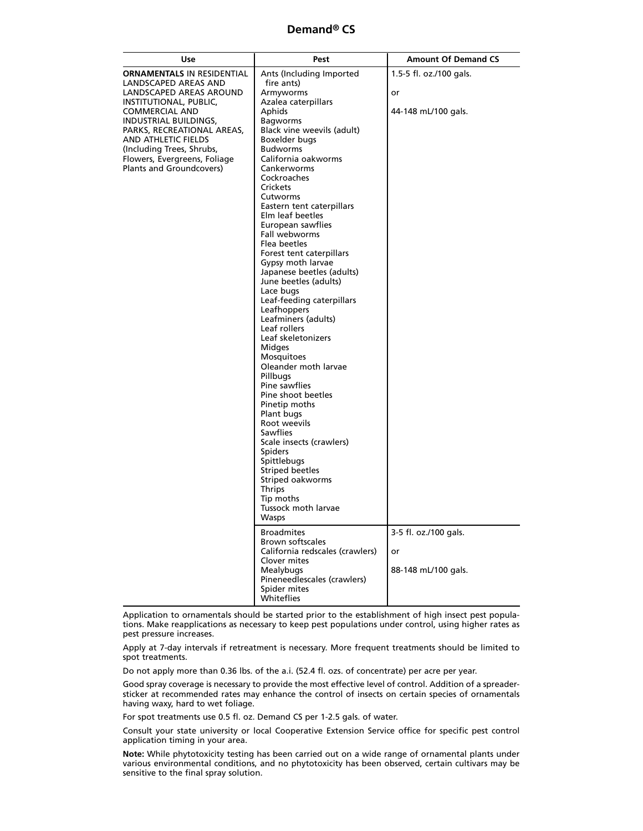| Use                                                                                                                                                                                                                                                                                                            | Pest                                                                                                                                                                                                                                                                                                                                                                                                                                                                                                                                                                                                                                                                                                                                                                                                                                                                                                                                                                        | <b>Amount Of Demand CS</b>                                                    |
|----------------------------------------------------------------------------------------------------------------------------------------------------------------------------------------------------------------------------------------------------------------------------------------------------------------|-----------------------------------------------------------------------------------------------------------------------------------------------------------------------------------------------------------------------------------------------------------------------------------------------------------------------------------------------------------------------------------------------------------------------------------------------------------------------------------------------------------------------------------------------------------------------------------------------------------------------------------------------------------------------------------------------------------------------------------------------------------------------------------------------------------------------------------------------------------------------------------------------------------------------------------------------------------------------------|-------------------------------------------------------------------------------|
| <b>ORNAMENTALS IN RESIDENTIAL</b><br>LANDSCAPED AREAS AND<br>LANDSCAPED AREAS AROUND<br>INSTITUTIONAL, PUBLIC,<br><b>COMMERCIAL AND</b><br>INDUSTRIAL BUILDINGS,<br>PARKS, RECREATIONAL AREAS,<br>AND ATHLETIC FIELDS<br>(Including Trees, Shrubs,<br>Flowers, Evergreens, Foliage<br>Plants and Groundcovers) | Ants (Including Imported<br>fire ants)<br>Armyworms<br>Azalea caterpillars<br>Aphids<br><b>Bagworms</b><br>Black vine weevils (adult)<br>Boxelder bugs<br><b>Budworms</b><br>California oakworms<br><b>Cankerworms</b><br>Cockroaches<br>Crickets<br>Cutworms<br>Eastern tent caterpillars<br>Elm leaf beetles<br>European sawflies<br>Fall webworms<br>Flea beetles<br>Forest tent caterpillars<br>Gypsy moth larvae<br>Japanese beetles (adults)<br>June beetles (adults)<br>Lace bugs<br>Leaf-feeding caterpillars<br>Leafhoppers<br>Leafminers (adults)<br>Leaf rollers<br>Leaf skeletonizers<br><b>Midges</b><br>Mosquitoes<br>Oleander moth larvae<br>Pillbugs<br>Pine sawflies<br>Pine shoot beetles<br>Pinetip moths<br>Plant bugs<br>Root weevils<br>Sawflies<br>Scale insects (crawlers)<br><b>Spiders</b><br>Spittlebugs<br><b>Striped beetles</b><br>Striped oakworms<br><b>Thrips</b><br>Tip moths<br>Tussock moth larvae<br><b>Wasps</b><br><b>Broadmites</b> | 1.5-5 fl. oz./100 gals.<br>or<br>44-148 mL/100 gals.<br>3-5 fl. oz./100 gals. |
|                                                                                                                                                                                                                                                                                                                | Brown softscales<br>California redscales (crawlers)<br>Clover mites<br>Mealybugs<br>Pineneedlescales (crawlers)<br>Spider mites<br>Whiteflies                                                                                                                                                                                                                                                                                                                                                                                                                                                                                                                                                                                                                                                                                                                                                                                                                               | or<br>88-148 mL/100 gals.                                                     |

Application to ornamentals should be started prior to the establishment of high insect pest populations. Make reapplications as necessary to keep pest populations under control, using higher rates as pest pressure increases.

Apply at 7-day intervals if retreatment is necessary. More frequent treatments should be limited to spot treatments.

Do not apply more than 0.36 lbs. of the a.i. (52.4 fl. ozs. of concentrate) per acre per year.

Good spray coverage is necessary to provide the most effective level of control. Addition of a spreadersticker at recommended rates may enhance the control of insects on certain species of ornamentals having waxy, hard to wet foliage.

For spot treatments use 0.5 fl. oz. Demand CS per 1-2.5 gals. of water.

Consult your state university or local Cooperative Extension Service office for specific pest control application timing in your area.

**Note:** While phytotoxicity testing has been carried out on a wide range of ornamental plants under various environmental conditions, and no phytotoxicity has been observed, certain cultivars may be sensitive to the final spray solution.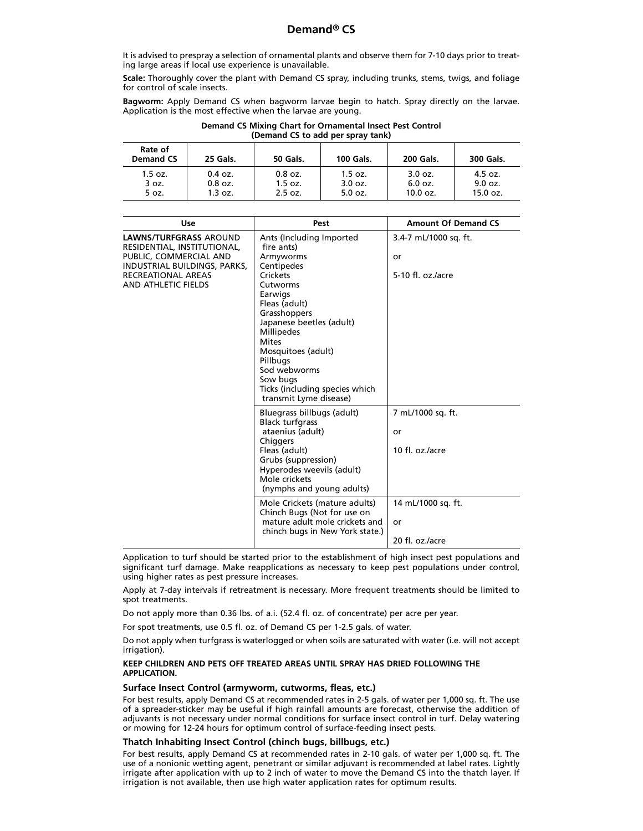It is advised to prespray a selection of ornamental plants and observe them for 7-10 days prior to treating large areas if local use experience is unavailable.

**Scale:** Thoroughly cover the plant with Demand CS spray, including trunks, stems, twigs, and foliage for control of scale insects.

**Bagworm:** Apply Demand CS when bagworm larvae begin to hatch. Spray directly on the larvae. Application is the most effective when the larvae are young.

| Demand CS Mixing Chart for Ornamental Insect Pest Control |
|-----------------------------------------------------------|
| (Demand CS to add per spray tank)                         |

| Rate of<br><b>Demand CS</b> | 25 Gals.  | <b>50 Gals.</b> | <b>100 Gals.</b> | <b>200 Gals.</b> | 300 Gals.  |
|-----------------------------|-----------|-----------------|------------------|------------------|------------|
| $1.5$ oz.                   | $0.4$ oz. | $0.8$ oz.       | $1.5$ oz.        | 3.0 oz.          | 4.5 oz.    |
| 3 oz.                       | $0.8$ oz. | $1.5$ oz.       | 3.0 oz.          | $6.0$ oz.        | 9.0 oz.    |
| 5 oz.                       | 1.3 oz.   | 2.5 oz.         | $5.0$ oz.        | 10.0 oz.         | $15.0$ oz. |

| Use                                                                                                                                                                        | Pest                                                                                                                                                                                                                                                                                                                                         | <b>Amount Of Demand CS</b>                                                                |
|----------------------------------------------------------------------------------------------------------------------------------------------------------------------------|----------------------------------------------------------------------------------------------------------------------------------------------------------------------------------------------------------------------------------------------------------------------------------------------------------------------------------------------|-------------------------------------------------------------------------------------------|
| <b>LAWNS/TURFGRASS AROUND</b><br>RESIDENTIAL, INSTITUTIONAL,<br>PUBLIC, COMMERCIAL AND<br>INDUSTRIAL BUILDINGS, PARKS,<br><b>RECREATIONAL AREAS</b><br>AND ATHLETIC FIELDS | Ants (Including Imported<br>fire ants)<br>Armyworms<br>Centipedes<br>Crickets<br>Cutworms<br>Earwigs<br>Fleas (adult)<br>Grasshoppers<br>Japanese beetles (adult)<br><b>Millipedes</b><br><b>Mites</b><br>Mosquitoes (adult)<br>Pillbugs<br>Sod webworms<br>Sow bugs<br>Ticks (including species which<br>transmit Lyme disease)             | 3.4-7 mL/1000 sq. ft.<br>or<br>5-10 fl. $oz/acre$                                         |
|                                                                                                                                                                            | Bluegrass billbugs (adult)<br><b>Black turfgrass</b><br>ataenius (adult)<br>Chiggers<br>Fleas (adult)<br>Grubs (suppression)<br>Hyperodes weevils (adult)<br>Mole crickets<br>(nymphs and young adults)<br>Mole Crickets (mature adults)<br>Chinch Bugs (Not for use on<br>mature adult mole crickets and<br>chinch bugs in New York state.) | 7 mL/1000 sq. ft.<br>or<br>10 fl. oz./acre<br>14 mL/1000 sq. ft.<br>or<br>20 fl. oz./acre |

Application to turf should be started prior to the establishment of high insect pest populations and significant turf damage. Make reapplications as necessary to keep pest populations under control, using higher rates as pest pressure increases.

Apply at 7-day intervals if retreatment is necessary. More frequent treatments should be limited to spot treatments.

Do not apply more than 0.36 lbs. of a.i. (52.4 fl. oz. of concentrate) per acre per year.

For spot treatments, use 0.5 fl. oz. of Demand CS per 1-2.5 gals. of water.

Do not apply when turfgrass is waterlogged or when soils are saturated with water (i.e. will not accept irrigation).

## **KEEP CHILDREN AND PETS OFF TREATED AREAS UNTIL SPRAY HAS DRIED FOLLOWING THE APPLICATION.**

## **Surface Insect Control (armyworm, cutworms, fleas, etc.)**

For best results, apply Demand CS at recommended rates in 2-5 gals. of water per 1,000 sq. ft. The use of a spreader-sticker may be useful if high rainfall amounts are forecast, otherwise the addition of adjuvants is not necessary under normal conditions for surface insect control in turf. Delay watering or mowing for 12-24 hours for optimum control of surface-feeding insect pests.

## **Thatch Inhabiting Insect Control (chinch bugs, billbugs, etc.)**

For best results, apply Demand CS at recommended rates in 2-10 gals. of water per 1,000 sq. ft. The use of a nonionic wetting agent, penetrant or similar adjuvant is recommended at label rates. Lightly irrigate after application with up to 2 inch of water to move the Demand CS into the thatch layer. If irrigation is not available, then use high water application rates for optimum results.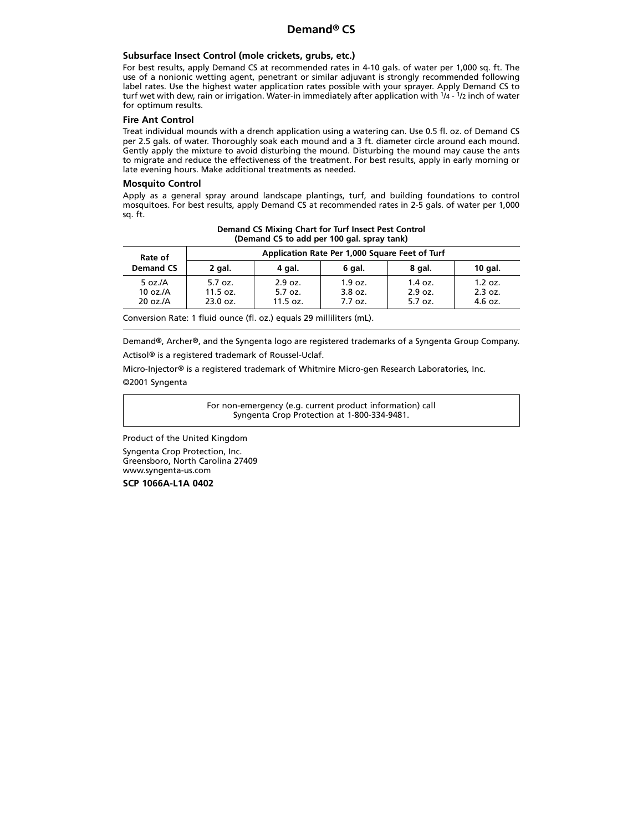## **Subsurface Insect Control (mole crickets, grubs, etc.)**

For best results, apply Demand CS at recommended rates in 4-10 gals. of water per 1,000 sq. ft. The use of a nonionic wetting agent, penetrant or similar adjuvant is strongly recommended following label rates. Use the highest water application rates possible with your sprayer. Apply Demand CS to turf wet with dew, rain or irrigation. Water-in immediately after application with 1/4 - 1/2 inch of water for optimum results.

## **Fire Ant Control**

Treat individual mounds with a drench application using a watering can. Use 0.5 fl. oz. of Demand CS per 2.5 gals. of water. Thoroughly soak each mound and a 3 ft. diameter circle around each mound. Gently apply the mixture to avoid disturbing the mound. Disturbing the mound may cause the ants to migrate and reduce the effectiveness of the treatment. For best results, apply in early morning or late evening hours. Make additional treatments as needed.

## **Mosquito Control**

Apply as a general spray around landscape plantings, turf, and building foundations to control mosquitoes. For best results, apply Demand CS at recommended rates in 2-5 gals. of water per 1,000 sq. ft.

| Demand CS Mixing Chart for Turf Insect Pest Control<br>(Demand CS to add per 100 gal. spray tank)      |
|--------------------------------------------------------------------------------------------------------|
| $\mathbf{A}$ . The state is the state of $\mathbf{A}$ and $\mathbf{A}$ is the state of $\mathbf{A}$ is |

| Rate of                               | Application Rate Per 1,000 Square Feet of Turf |                                |                                 |                                 |                                 |
|---------------------------------------|------------------------------------------------|--------------------------------|---------------------------------|---------------------------------|---------------------------------|
| <b>Demand CS</b>                      | 2 gal.                                         | 4 gal.                         | 6 gal.                          | 8 gal.                          | $10$ gal.                       |
| 5 oz. $/A$<br>10 oz./ $A$<br>20 oz./A | 5.7 oz.<br>11.5 oz.<br>23.0 oz.                | 2.9 oz.<br>5.7 oz.<br>11.5 oz. | 1.9 oz.<br>$3.8$ oz.<br>7.7 oz. | $1.4$ oz.<br>2.9 oz.<br>5.7 oz. | 1.2 oz.<br>2.3 oz.<br>$4.6$ oz. |

Conversion Rate: 1 fluid ounce (fl. oz.) equals 29 milliliters (mL).

Demand®, Archer®, and the Syngenta logo are registered trademarks of a Syngenta Group Company. Actisol® is a registered trademark of Roussel-Uclaf.

Micro-Injector® is a registered trademark of Whitmire Micro-gen Research Laboratories, Inc. ©2001 Syngenta

> For non-emergency (e.g. current product information) call Syngenta Crop Protection at 1-800-334-9481.

Product of the United Kingdom

Syngenta Crop Protection, Inc. Greensboro, North Carolina 27409 www.syngenta-us.com

**SCP 1066A-L1A 0402**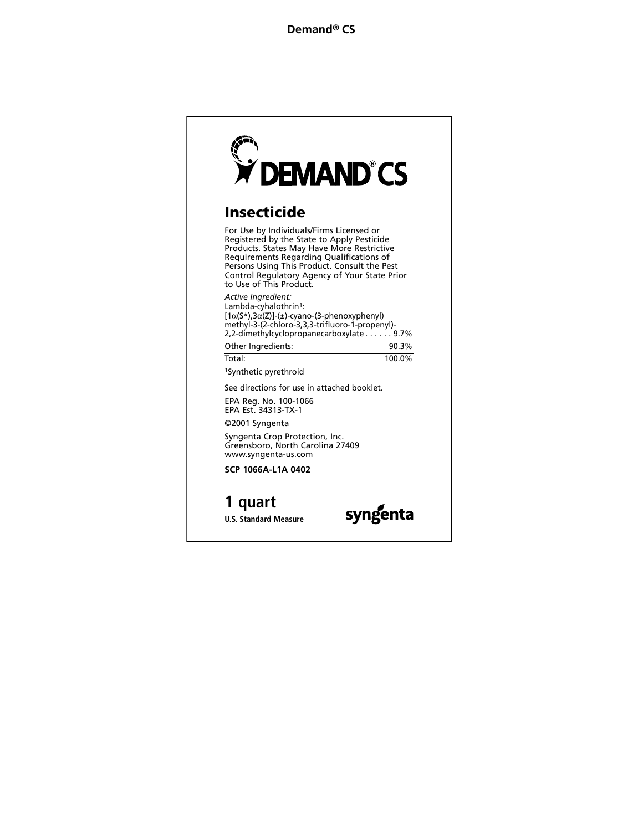